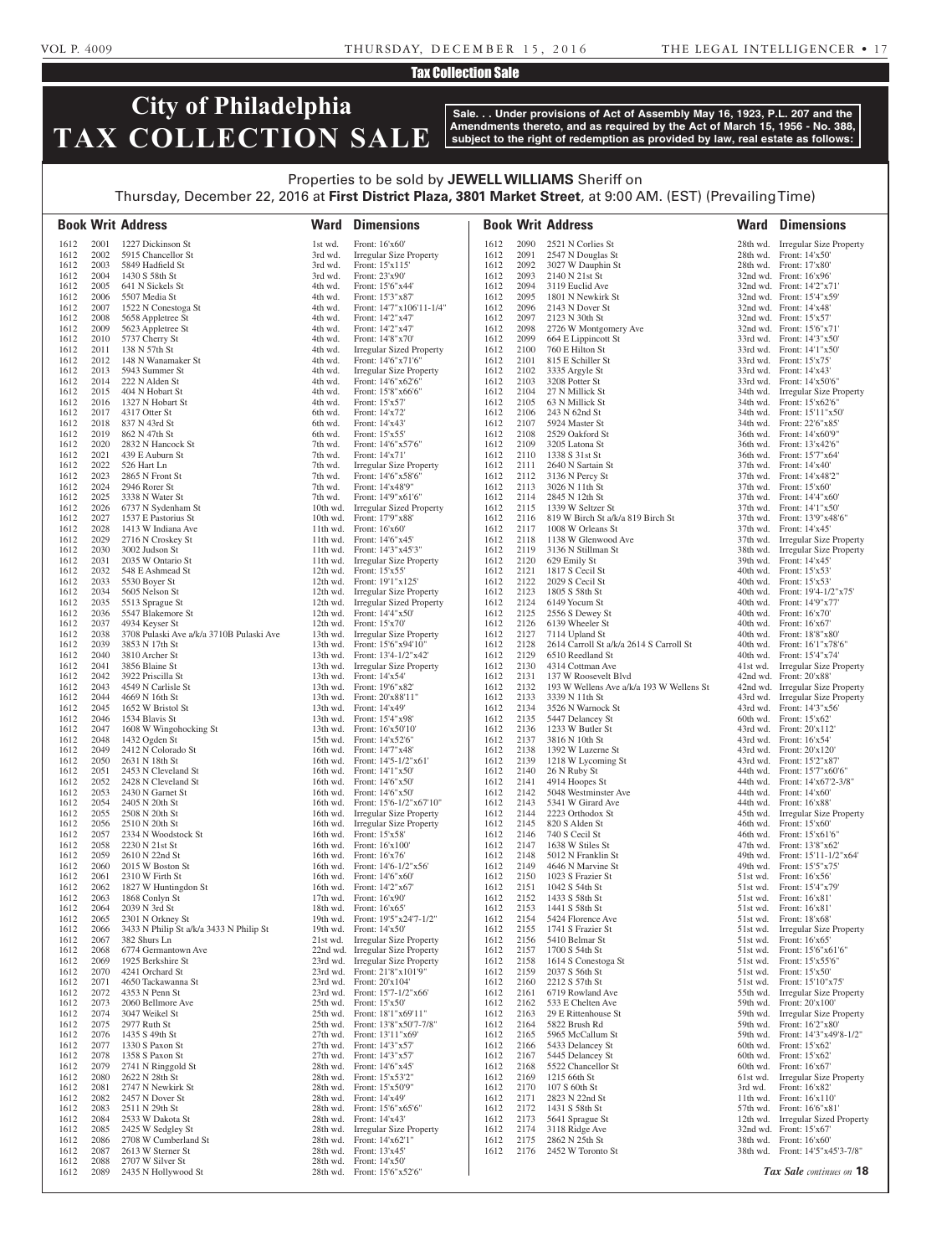#### VOL P. 4009 THURSDAY, DECEMBER 15, 2016 THE LEGAL INTELLIGENCER • 17

#### Tax Collection Sale

# **City of Philadelphia TAX COLLECTION SALE**

**Sale. . . Under provisions of Act of Assembly May 16, 1923, P.L. 207 and the Amendments thereto, and as required by the Act of March 15, 1956 - No. 388, subject to the right of redemption as provided by law, real estate as follows:**

### Properties to be sold by **JEWELL WILLIAMS** Sheriff on Thursday, December 22, 2016 at **First District Plaza, 3801 Market Street**, at 9:00 AM. (EST) (Prevailing Time)

|              |              | <b>Book Writ Address</b>                                    | Ward               | <b>Dimensions</b>                                                    |              |              | <b>Book Writ Address</b>                                   | Ward                 | <b>Dimensions</b>                                             |
|--------------|--------------|-------------------------------------------------------------|--------------------|----------------------------------------------------------------------|--------------|--------------|------------------------------------------------------------|----------------------|---------------------------------------------------------------|
| 1612         | 2001         | 1227 Dickinson St                                           | 1st wd.            | Front: 16'x60'                                                       | 1612         | 2090         | 2521 N Corlies St                                          |                      | 28th wd. Irregular Size Property                              |
| 1612         | 2002         | 5915 Chancellor St                                          | 3rd wd.            | Irregular Size Property                                              | 1612         | 2091         | 2547 N Douglas St                                          |                      | 28th wd. Front: 14'x50'                                       |
| 1612         | 2003         | 5849 Hadfield St                                            | 3rd wd.            | Front: 15'x115'                                                      | 1612         | 2092         | 3027 W Dauphin St                                          |                      | 28th wd. Front: 17'x80'                                       |
| 1612<br>1612 | 2004<br>2005 | 1430 S 58th St<br>641 N Sickels St                          | 3rd wd.<br>4th wd. | Front: 23'x90'<br>Front: 15'6"x44'                                   | 1612<br>1612 | 2093<br>2094 | 2140 N 21st St<br>3119 Euclid Ave                          |                      | 32nd wd. Front: 16'x96'<br>32nd wd. Front: 14'2"x71"          |
| 1612         | 2006         | 5507 Media St                                               | 4th wd.            | Front: 15'3"x87"                                                     | 1612         | 2095         | 1801 N Newkirk St                                          |                      | 32nd wd. Front: 15'4"x59"                                     |
| 1612         | 2007         | 1522 N Conestoga St                                         | 4th wd.            | Front: 14'7"x106'11-1/4"                                             | 1612         | 2096         | 2143 N Dover St                                            |                      | 32nd wd. Front: 14'x48'                                       |
| 1612         | 2008         | 5658 Appletree St                                           | 4th wd.            | Front: 14'2"x47'                                                     | 1612         | 2097         | 2123 N 30th St                                             |                      | 32nd wd. Front: 15'x57'                                       |
| 1612         | 2009         | 5623 Appletree St                                           | 4th wd.            | Front: 14'2"x47'                                                     | 1612         | 2098         | 2726 W Montgomery Ave                                      |                      | 32nd wd. Front: 15'6"x71"                                     |
| 1612<br>1612 | 2010<br>2011 | 5737 Cherry St<br>138 N 57th St                             | 4th wd.<br>4th wd. | Front: 14'8"x70"<br>Irregular Sized Property                         | 1612<br>1612 | 2099<br>2100 | 664 E Lippincott St<br>760 E Hilton St                     |                      | 33rd wd. Front: 14'3"x50"<br>33rd wd. Front: 14'1"x50"        |
| 1612         | 2012         | 148 N Wanamaker St                                          | 4th wd.            | Front: 14'6"x71'6"                                                   | 1612         | 2101         | 815 E Schiller St                                          |                      | 33rd wd. Front: 15'x75'                                       |
| 1612         | 2013         | 5943 Summer St                                              | 4th wd.            | Irregular Size Property                                              | 1612         | 2102         | 3335 Argyle St                                             |                      | 33rd wd. Front: 14'x43'                                       |
| 1612         | 2014         | 222 N Alden St                                              | 4th wd.            | Front: 14'6"x62'6"                                                   | 1612         | 2103         | 3208 Potter St                                             |                      | 33rd wd. Front: 14'x50'6"                                     |
| 1612<br>1612 | 2015<br>2016 | 404 N Hobart St<br>1327 N Hobart St                         | 4th wd.<br>4th wd. | Front: 15'8"x66'6"<br>Front: 15'x57'                                 | 1612<br>1612 | 2104<br>2105 | 27 N Millick St<br>63 N Millick St                         | 34th wd.<br>34th wd. | <b>Irregular Size Property</b><br>Front: 15'x62'6"            |
| 1612         | 2017         | 4317 Otter St                                               | 6th wd.            | Front: 14'x72'                                                       | 1612         | 2106         | 243 N 62nd St                                              |                      | 34th wd. Front: 15'11"x50"                                    |
| 1612         | 2018         | 837 N 43rd St                                               | 6th wd.            | Front: 14'x43'                                                       | 1612         | 2107         | 5924 Master St                                             | 34th wd.             | Front: 22'6"x85"                                              |
| 1612         | 2019         | 862 N 47th St                                               | 6th wd.            | Front: 15'x55'                                                       | 1612         | 2108         | 2529 Oakford St                                            |                      | 36th wd. Front: 14'x60'9"                                     |
| 1612         | 2020         | 2832 N Hancock St                                           | 7th wd.            | Front: 14'6"x57'6"                                                   | 1612         | 2109         | 3205 Latona St                                             |                      | 36th wd. Front: 13'x42'6"                                     |
| 1612<br>1612 | 2021<br>2022 | 439 E Auburn St<br>526 Hart Ln                              | 7th wd.<br>7th wd. | Front: 14'x71'<br><b>Irregular Size Property</b>                     | 1612<br>1612 | 2110<br>2111 | 1338 S 31st St<br>2640 N Sartain St                        |                      | 36th wd. Front: 15'7"x64"<br>37th wd. Front: 14'x40'          |
| 1612         | 2023         | 2865 N Front St                                             | 7th wd.            | Front: 14'6"x58'6"                                                   | 1612         | 2112         | 3136 N Percy St                                            |                      | 37th wd. Front: 14'x48'2"                                     |
| 1612         | 2024         | 2946 Rorer St                                               | 7th wd.            | Front: 14'x48'9"                                                     | 1612         | 2113         | 3026 N 11th St                                             |                      | 37th wd. Front: 15'x60'                                       |
| 1612         | 2025         | 3338 N Water St                                             | 7th wd.            | Front: 14'9"x61'6"                                                   | 1612         | 2114         | 2845 N 12th St                                             |                      | 37th wd. Front: 14'4"x60"                                     |
| 1612         | 2026<br>2027 | 6737 N Sydenham St                                          | 10th wd.           | <b>Irregular Sized Property</b>                                      | 1612         | 2115<br>2116 | 1339 W Seltzer St                                          |                      | 37th wd. Front: 14'1"x50"                                     |
| 1612<br>1612 | 2028         | 1537 E Pastorius St<br>1413 W Indiana Ave                   |                    | 10th wd. Front: 17'9"x88'<br>11th wd. Front: 16'x60'                 | 1612<br>1612 | 2117         | 819 W Birch St a/k/a 819 Birch St<br>1008 W Orleans St     |                      | 37th wd. Front: 13'9"x48'6"<br>37th wd. Front: 14'x45'        |
| 1612         | 2029         | 2716 N Croskey St                                           |                    | 11th wd. Front: 14'6"x45"                                            | 1612         | 2118         | 1138 W Glenwood Ave                                        |                      | 37th wd. Irregular Size Property                              |
| 1612         | 2030         | 3002 Judson St                                              |                    | 11th wd. Front: 14'3"x45'3"                                          | 1612         | 2119         | 3136 N Stillman St                                         | 38th wd.             | <b>Irregular Size Property</b>                                |
| 1612         | 2031         | 2035 W Ontario St                                           | 11th wd.           | <b>Irregular Size Property</b>                                       | 1612         | 2120         | 629 Emily St                                               |                      | 39th wd. Front: 14'x45'                                       |
| 1612<br>1612 | 2032<br>2033 | 548 E Ashmead St<br>5530 Boyer St                           |                    | 12th wd. Front: 15'x55'<br>12th wd. Front: 19'1"x125"                | 1612<br>1612 | 2121<br>2122 | 1817 S Cecil St<br>2029 S Cecil St                         |                      | 40th wd. Front: 15'x53'<br>40th wd. Front: 15'x53'            |
| 1612         | 2034         | 5605 Nelson St                                              | 12th wd.           | Irregular Size Property                                              | 1612         | 2123         | 1805 S 58th St                                             | 40th wd.             | Front: 19'4-1/2"x75"                                          |
| 1612         | 2035         | 5513 Sprague St                                             | $12th$ wd.         | <b>Irregular Sized Property</b>                                      | 1612         | 2124         | 6149 Yocum St                                              |                      | 40th wd. Front: 14'9"x77'                                     |
| 1612         | 2036         | 5547 Blakemore St                                           |                    | 12th wd. Front: 14'4"x50"                                            | 1612         | 2125         | 2556 S Dewey St                                            |                      | 40th wd. Front: 16'x70'                                       |
| 1612         | 2037         | 4934 Keyser St                                              |                    | 12th wd. Front: $15'x70'$                                            | 1612         | 2126         | 6139 Wheeler St                                            |                      | 40th wd. Front: 16'x67'                                       |
| 1612<br>1612 | 2038<br>2039 | 3708 Pulaski Ave a/k/a 3710B Pulaski Ave<br>3853 N 17th St  | 13th wd.           | Irregular Size Property<br>13th wd. Front: 15'6"x94'10"              | 1612<br>1612 | 2127<br>2128 | 7114 Upland St<br>2614 Carroll St a/k/a 2614 S Carroll St  | 40th wd.             | Front: 18'8"x80"<br>40th wd. Front: 16'1"x78'6"               |
| 1612         | 2040         | 3810 Archer St                                              |                    | 13th wd. Front: 13'4-1/2"x42"                                        | 1612         | 2129         | 6510 Reedland St                                           | 40th wd.             | Front: 15'4"x74"                                              |
| 1612         | 2041         | 3856 Blaine St                                              | 13th wd.           | Irregular Size Property                                              | 1612         | 2130         | 4314 Cottman Ave                                           | 41st wd.             | Irregular Size Property                                       |
| 1612         | 2042         | 3922 Priscilla St                                           |                    | 13th wd. Front: 14'x54'                                              | 1612         | 2131         | 137 W Roosevelt Blvd                                       |                      | 42nd wd. Front: 20'x88'                                       |
| 1612<br>1612 | 2043<br>2044 | 4549 N Carlisle St<br>4669 N 16th St                        |                    | 13th wd. Front: 19'6"x82"<br>13th wd. Front: 20'x88'11"              | 1612<br>1612 | 2132<br>2133 | 193 W Wellens Ave a/k/a 193 W Wellens St<br>3339 N 11th St |                      | 42nd wd. Irregular Size Property                              |
| 1612         | 2045         | 1652 W Bristol St                                           |                    | 13th wd. Front: 14'x49'                                              | 1612         | 2134         | 3526 N Warnock St                                          |                      | 43rd wd. Irregular Size Property<br>43rd wd. Front: 14'3"x56" |
| 1612         | 2046         | 1534 Blavis St                                              |                    | 13th wd. Front: 15'4"x98"                                            | 1612         | 2135         | 5447 Delancey St                                           | 60th wd.             | Front: 15'x62'                                                |
| 1612         | 2047         | 1608 W Wingohocking St                                      |                    | 13th wd. Front: 16'x50'10'                                           | 1612         | 2136         | 1233 W Butler St                                           |                      | 43rd wd. Front: 20'x112'                                      |
| 1612         | 2048         | 1432 Ogden St                                               |                    | 15th wd. Front: 14'x52'6'                                            | 1612         | 2137         | 3816 N 10th St                                             |                      | 43rd wd. Front: 16'x54                                        |
| 1612<br>1612 | 2049<br>2050 | 2412 N Colorado St<br>2631 N 18th St                        |                    | 16th wd. Front: 14'7"x48'<br>16th wd. Front: 14'5-1/2"x61'           | 1612<br>1612 | 2138<br>2139 | 1392 W Luzerne St<br>1218 W Lycoming St                    |                      | 43rd wd. Front: 20'x120'<br>43rd wd. Front: 15'2"x87'         |
| 1612         | 2051         | 2453 N Cleveland St                                         |                    | 16th wd. Front: 14'1"x50"                                            | 1612         | 2140         | 26 N Ruby St                                               |                      | 44th wd. Front: 15'7"x60'6"                                   |
| 1612         | 2052         | 2428 N Cleveland St                                         |                    | 16th wd. Front: 14'6"x50"                                            | 1612         | 2141         | 4914 Hoopes St                                             |                      | 44th wd. Front: 14'x67'2-3/8"                                 |
| 1612         | 2053         | 2430 N Garnet St                                            |                    | 16th wd. Front: 14'6"x50"                                            | 1612         | 2142         | 5048 Westminster Ave                                       |                      | 44th wd. Front: 14'x60'                                       |
| 1612<br>1612 | 2054<br>2055 | 2405 N 20th St<br>2508 N 20th St                            |                    | 16th wd. Front: 15'6-1/2"x67'10"<br>16th wd. Irregular Size Property | 1612<br>1612 | 2143<br>2144 | 5341 W Girard Ave<br>2223 Orthodox St                      | 44th wd.<br>45th wd. | Front: 16'x88'<br><b>Irregular Size Property</b>              |
| 1612         | 2056         | 2510 N 20th St                                              |                    | 16th wd. Irregular Size Property                                     | 1612         | 2145         | 820 S Alden St                                             | 46th wd.             | Front: 15'x60'                                                |
| 1612         | 2057         | 2334 N Woodstock St                                         |                    | 16th wd. Front: 15'x58'                                              | 1612         | 2146         | 740 S Cecil St                                             | 46th wd.             | Front: 15'x61'6"                                              |
| 1612         | 2058         | 2230 N 21st St                                              |                    | 16th wd. Front: 16'x100'                                             | 1612         | 2147         | 1638 W Stiles St                                           | 47th wd.             | Front: 13'8"x62"                                              |
| 1612         | 2059         | 2610 N 22nd St                                              |                    | 16th wd. Front: 16'x76'                                              | 1612         | 2148         | 5012 N Franklin St                                         | 49th wd.             | Front: 15'11-1/2"x64"                                         |
| 1612<br>1612 | 2060<br>2061 | 2015 W Boston St<br>2310 W Firth St                         |                    | 16th wd. Front: 14'6-1/2"x56'<br>16th wd. Front: 14'6"x60"           | 1612<br>1612 | 2149<br>2150 | 4646 N Marvine St<br>1023 S Frazier St                     | 49th wd.<br>51st wd. | Front: 15'5"x75"<br>Front: 16'x56'                            |
| 1612         | 2062         | 1827 W Huntingdon St                                        |                    | 16th wd. Front: 14'2"x67'                                            | 1612         | 2151         | 1042 S 54th St                                             | 51st wd.             | Front: 15'4"x79'                                              |
| 1612         | 2063         | 1868 Conlyn St                                              |                    | 17th wd. Front: 16'x90'                                              | 1612         | 2152         | 1433 S 58th St                                             | 51st wd.             | Front: 16'x81                                                 |
| 1612         | 2064         | 2039 N 3rd St                                               |                    | 18th wd. Front: 16'x65'                                              | 1612         | 2153         | 1441 S 58th St                                             | 51st wd.             | Front: 16'x81                                                 |
| 1612<br>1612 | 2065<br>2066 | 2301 N Orkney St<br>3433 N Philip St a/k/a 3433 N Philip St |                    | 19th wd. Front: 19'5"x24'7-1/2"<br>19th wd. Front: $14'x50'$         | 1612<br>1612 | 2154<br>2155 | 5424 Florence Ave<br>1741 S Frazier St                     | 51st wd.<br>51st wd. | Front: 18'x68'<br><b>Irregular Size Property</b>              |
| 1612         | 2067         | 382 Shurs Ln                                                |                    | 21st wd. Irregular Size Property                                     | 1612         | 2156         | 5410 Belmar St                                             | 51st wd.             | Front: 16'x65'                                                |
| 1612         | 2068         | 6774 Germantown Ave                                         |                    | 22nd wd. Irregular Size Property                                     | 1612         | 2157         | 1700 S 54th St                                             | 51st wd.             | Front: 15'6"x61'6"                                            |
| 1612         | 2069         | 1925 Berkshire St                                           |                    | 23rd wd. Irregular Size Property                                     | 1612         | 2158         | 1614 S Conestoga St                                        | 51st wd.             | Front: 15'x55'6"                                              |
| 1612<br>1612 | 2070<br>2071 | 4241 Orchard St                                             |                    | 23rd wd. Front: 21'8"x101'9"<br>23rd wd. Front: 20'x104'             | 1612         | 2159<br>2160 | 2037 S 56th St<br>2212 S 57th St                           | 51st wd.             | Front: 15'x50'                                                |
| 1612         | 2072         | 4650 Tackawanna St<br>4353 N Penn St                        |                    | 23rd wd. Front: 15'7-1/2"x66'                                        | 1612<br>1612 | 2161         | 6719 Rowland Ave                                           | 51st wd.<br>55th wd. | Front: 15'10"x75"<br><b>Irregular Size Property</b>           |
| 1612         | 2073         | 2060 Bellmore Ave                                           |                    | 25th wd. Front: 15'x50'                                              | 1612         | 2162         | 533 E Chelten Ave                                          | 59th wd.             | Front: 20'x100'                                               |
| 1612         | 2074         | 3047 Weikel St                                              |                    | 25th wd. Front: 18'1"x69'11"                                         | 1612         | 2163         | 29 E Rittenhouse St                                        | 59th wd.             | <b>Irregular Size Property</b>                                |
| 1612         | 2075         | 2977 Ruth St                                                |                    | 25th wd. Front: 13'8"x50'7-7/8"                                      | 1612         | 2164         | 5822 Brush Rd                                              |                      | 59th wd. Front: 16'2"x80'                                     |
| 1612<br>1612 | 2076<br>2077 | 1435 S 49th St<br>1330 S Paxon St                           |                    | 27th wd. Front: 13'11"x69"<br>27th wd. Front: 14'3"x57'              | 1612<br>1612 | 2165<br>2166 | 5965 McCallum St<br>5433 Delancey St                       |                      | 59th wd. Front: 14'3"x49'8-1/2"<br>60th wd. Front: 15'x62'    |
| 1612         | 2078         | 1358 S Paxon St                                             |                    | 27th wd. Front: 14'3"x57'                                            | 1612         | 2167         | 5445 Delancey St                                           |                      | 60th wd. Front: 15'x62'                                       |
| 1612         | 2079         | 2741 N Ringgold St                                          |                    | 28th wd. Front: 14'6"x45"                                            | 1612         | 2168         | 5522 Chancellor St                                         |                      | 60th wd. Front: $16'x67'$                                     |
| 1612         | 2080         | 2622 N 28th St                                              |                    | 28th wd. Front: 15'x53'2"                                            | 1612         | 2169         | 1215 66th St                                               |                      | 61st wd. Irregular Size Property                              |
| 1612         | 2081<br>2082 | 2747 N Newkirk St                                           |                    | 28th wd. Front: 15'x50'9"                                            | 1612         | 2170<br>2171 | 107 S 60th St                                              | 3rd wd.              | Front: 16'x82'                                                |
| 1612<br>1612 | 2083         | 2457 N Dover St<br>2511 N 29th St                           |                    | 28th wd. Front: 14'x49'<br>28th wd. Front: 15'6"x65'6"               | 1612<br>1612 | 2172         | 2823 N 22nd St<br>1431 S 58th St                           |                      | 11th wd. Front: $16'x110'$<br>57th wd. Front: 16'6"x81'       |
| 1612         | 2084         | 2533 W Dakota St                                            |                    | 28th wd. Front: 14'x43'                                              | 1612         | 2173         | 5641 Sprague St                                            |                      | 12th wd. Irregular Sized Property                             |
| 1612         | 2085         | 2425 W Sedgley St                                           |                    | 28th wd. Irregular Size Property                                     | 1612         | 2174         | 3118 Ridge Ave                                             |                      | 32nd wd. Front: 15'x67'                                       |
| 1612         | 2086         | 2708 W Cumberland St                                        |                    | 28th wd. Front: 14'x62'1"                                            | 1612         | 2175         | 2862 N 25th St                                             |                      | 38th wd. Front: 16'x60'                                       |
| 1612<br>1612 | 2087<br>2088 | 2613 W Sterner St<br>2707 W Silver St                       |                    | 28th wd. Front: 13'x45'<br>28th wd. Front: 14'x50'                   | 1612         | 2176         | 2452 W Toronto St                                          |                      | 38th wd. Front: 14'5"x45'3-7/8"                               |
| 1612         | 2089         | 2435 N Hollywood St                                         |                    | 28th wd. Front: 15'6"x52'6"                                          |              |              |                                                            |                      | Tax Sale continues on 18                                      |
|              |              |                                                             |                    |                                                                      |              |              |                                                            |                      |                                                               |